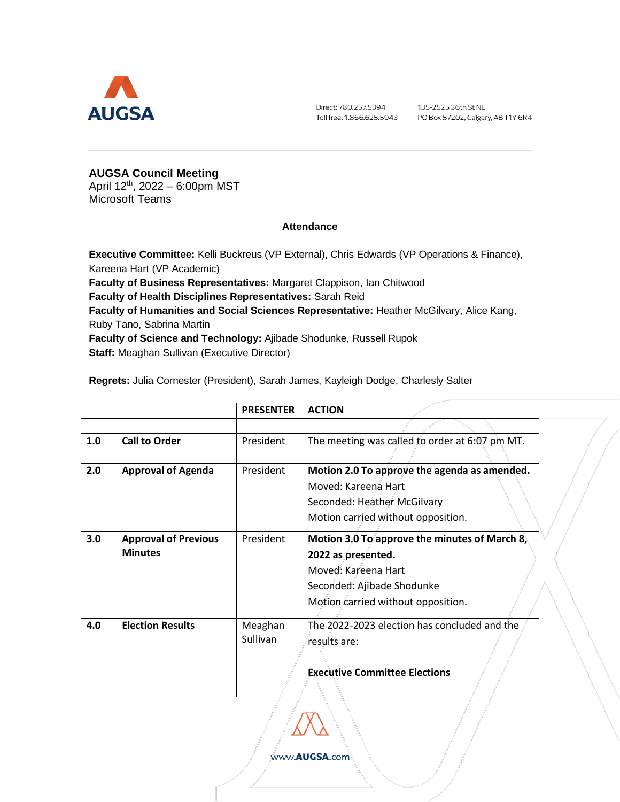

Direct: 780.257.5394 Toll free: 1.866.625.5943 135-2525 36th St NE PO Box 57202, Calgary, AB T1Y 6R4

**AUGSA Council Meeting** April 12<sup>th</sup>, 2022 – 6:00pm MST Microsoft Teams

## **Attendance**

**Executive Committee:** Kelli Buckreus (VP External), Chris Edwards (VP Operations & Finance), Kareena Hart (VP Academic) **Faculty of Business Representatives:** Margaret Clappison, Ian Chitwood **Faculty of Health Disciplines Representatives:** Sarah Reid **Faculty of Humanities and Social Sciences Representative:** Heather McGilvary, Alice Kang, Ruby Tano, Sabrina Martin **Faculty of Science and Technology:** Ajibade Shodunke, Russell Rupok

**Staff:** Meaghan Sullivan (Executive Director)

**Regrets:** Julia Cornester (President), Sarah James, Kayleigh Dodge, Charlesly Salter

|     |                                               | <b>PRESENTER</b>    | <b>ACTION</b>                                                                                                                                                  |  |
|-----|-----------------------------------------------|---------------------|----------------------------------------------------------------------------------------------------------------------------------------------------------------|--|
|     |                                               |                     |                                                                                                                                                                |  |
| 1.0 | <b>Call to Order</b>                          | President           | The meeting was called to order at 6:07 pm MT.                                                                                                                 |  |
| 2.0 | <b>Approval of Agenda</b>                     | President           | Motion 2.0 To approve the agenda as amended.<br>Moved: Kareena Hart<br>Seconded: Heather McGilvary<br>Motion carried without opposition.                       |  |
| 3.0 | <b>Approval of Previous</b><br><b>Minutes</b> | President           | Motion 3.0 To approve the minutes of March 8,<br>2022 as presented.<br>Moved: Kareena Hart<br>Seconded: Ajibade Shodunke<br>Motion carried without opposition. |  |
| 4.0 | <b>Election Results</b>                       | Meaghan<br>Sullivan | The 2022-2023 election has concluded and the<br>results are:<br><b>Executive Committee Elections</b>                                                           |  |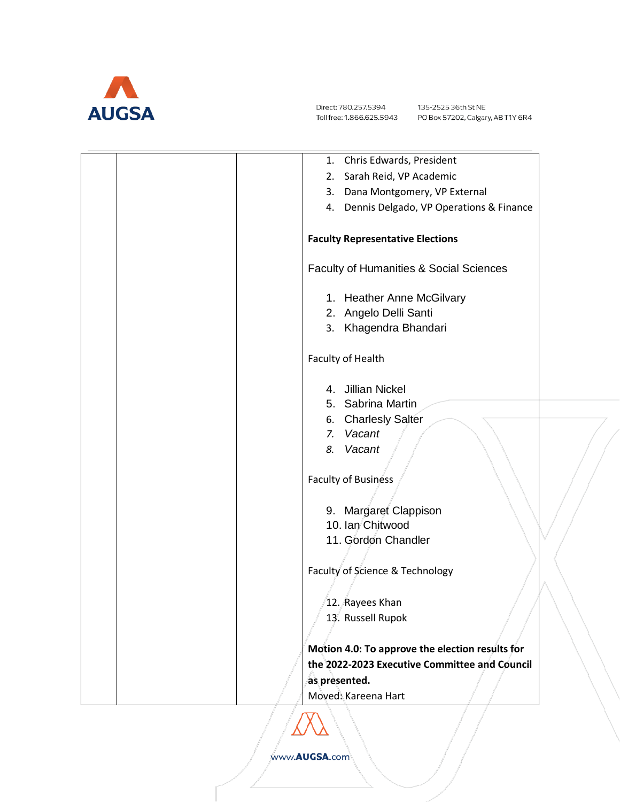

Direct: 780.257.5394 Toll free: 1.866.625.5943

| Chris Edwards, President<br>1.                     |
|----------------------------------------------------|
| Sarah Reid, VP Academic<br>2.                      |
| 3. Dana Montgomery, VP External                    |
| 4. Dennis Delgado, VP Operations & Finance         |
| <b>Faculty Representative Elections</b>            |
| <b>Faculty of Humanities &amp; Social Sciences</b> |
| 1. Heather Anne McGilvary                          |
| 2. Angelo Delli Santi                              |
| 3. Khagendra Bhandari                              |
| Faculty of Health                                  |
| 4. Jillian Nickel                                  |
| 5. Sabrina Martin                                  |
| <b>Charlesly Salter</b><br>6.                      |
| Vacant<br>7.                                       |
| Vacant<br>8.                                       |
|                                                    |
| <b>Faculty of Business</b>                         |
| 9. Margaret Clappison                              |
| 10. Ian Chitwood                                   |
| 11. Gordon Chandler                                |
|                                                    |
| Faculty of Science & Technology                    |
|                                                    |
| 12. Rayees Khan                                    |
| 13. Russell Rupok                                  |
| Motion 4.0: To approve the election results for    |
| the 2022-2023 Executive Committee and Council      |
| as presented.                                      |
| Moved: Kareena Hart                                |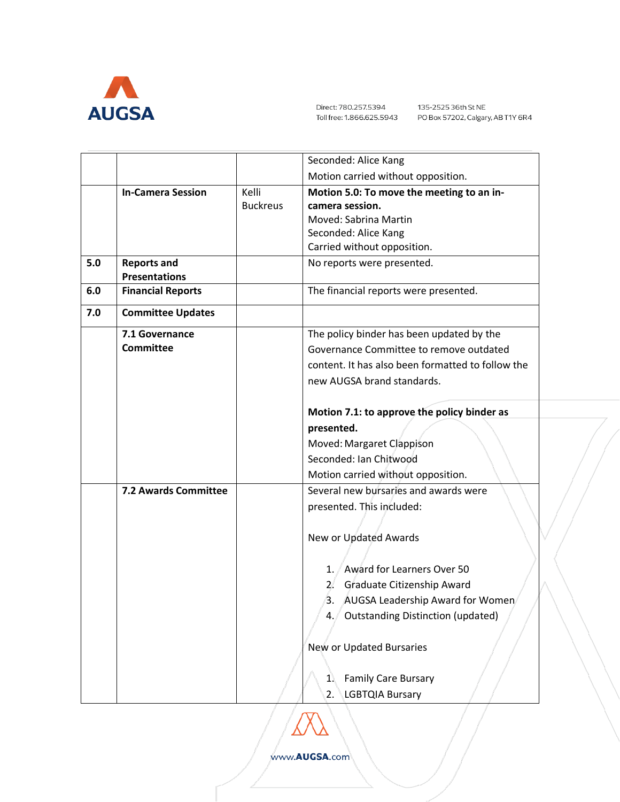

|     |                          |                 | Seconded: Alice Kang                              |  |
|-----|--------------------------|-----------------|---------------------------------------------------|--|
|     |                          |                 | Motion carried without opposition.                |  |
|     | <b>In-Camera Session</b> | Kelli           | Motion 5.0: To move the meeting to an in-         |  |
|     |                          | <b>Buckreus</b> | camera session.                                   |  |
|     |                          |                 | Moved: Sabrina Martin                             |  |
|     |                          |                 | Seconded: Alice Kang                              |  |
|     |                          |                 | Carried without opposition.                       |  |
| 5.0 | <b>Reports and</b>       |                 | No reports were presented.                        |  |
|     | <b>Presentations</b>     |                 |                                                   |  |
| 6.0 | <b>Financial Reports</b> |                 | The financial reports were presented.             |  |
| 7.0 | <b>Committee Updates</b> |                 |                                                   |  |
|     | 7.1 Governance           |                 | The policy binder has been updated by the         |  |
|     | <b>Committee</b>         |                 | Governance Committee to remove outdated           |  |
|     |                          |                 | content. It has also been formatted to follow the |  |
|     |                          |                 | new AUGSA brand standards.                        |  |
|     |                          |                 |                                                   |  |
|     |                          |                 | Motion 7.1: to approve the policy binder as       |  |
|     |                          |                 | presented.                                        |  |
|     |                          |                 | Moved: Margaret Clappison                         |  |
|     |                          |                 | Seconded: Ian Chitwood                            |  |
|     |                          |                 | Motion carried without opposition.                |  |
|     | 7.2 Awards Committee     |                 | Several new bursaries and awards were             |  |
|     |                          |                 | presented. This included:                         |  |
|     |                          |                 |                                                   |  |
|     |                          |                 | New or Updated Awards                             |  |
|     |                          |                 |                                                   |  |
|     |                          |                 | 1. Award for Learners Over 50                     |  |
|     |                          |                 | Graduate Citizenship Award<br>$2^{\prime}$        |  |
|     |                          |                 | 3. AUGSA Leadership Award for Women               |  |
|     |                          |                 | <b>Outstanding Distinction (updated)</b><br>4. .  |  |
|     |                          |                 |                                                   |  |
|     |                          |                 | New or Updated Bursaries                          |  |
|     |                          |                 |                                                   |  |
|     |                          |                 | <b>Family Care Bursary</b><br>1.                  |  |
|     |                          |                 | <b>LGBTQIA Bursary</b><br>2.                      |  |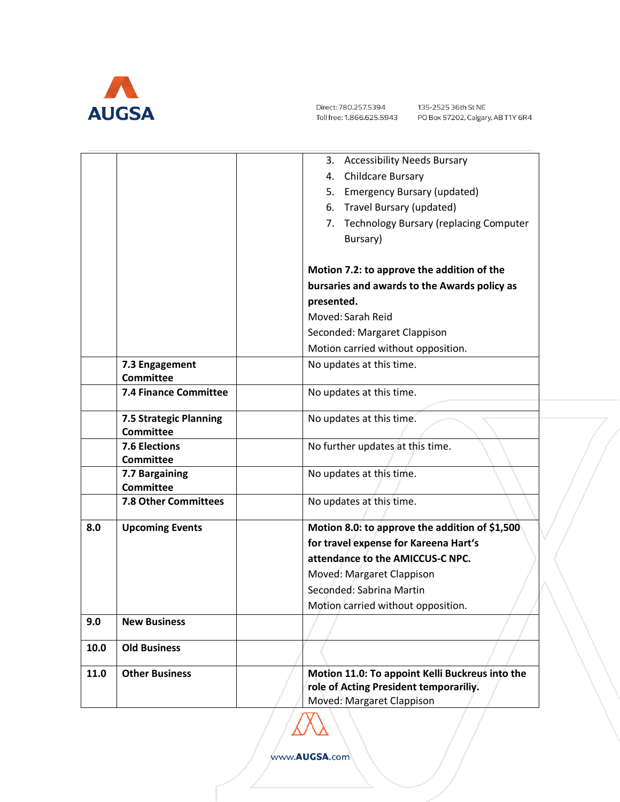

Direct: 780.257.5394 Toll free: 1.866.625.5943

|      |                                          | 3. Accessibility Needs Bursary                                                            |
|------|------------------------------------------|-------------------------------------------------------------------------------------------|
|      |                                          | <b>Childcare Bursary</b><br>4.                                                            |
|      |                                          | 5. Emergency Bursary (updated)                                                            |
|      |                                          | 6. Travel Bursary (updated)                                                               |
|      |                                          | 7. Technology Bursary (replacing Computer                                                 |
|      |                                          | Bursary)                                                                                  |
|      |                                          |                                                                                           |
|      |                                          | Motion 7.2: to approve the addition of the                                                |
|      |                                          | bursaries and awards to the Awards policy as                                              |
|      |                                          | presented.                                                                                |
|      |                                          | Moved: Sarah Reid                                                                         |
|      |                                          | Seconded: Margaret Clappison                                                              |
|      |                                          | Motion carried without opposition.                                                        |
|      | 7.3 Engagement                           | No updates at this time.                                                                  |
|      | <b>Committee</b>                         |                                                                                           |
|      | 7.4 Finance Committee                    | No updates at this time.                                                                  |
|      | 7.5 Strategic Planning                   | No updates at this time.                                                                  |
|      | <b>Committee</b>                         |                                                                                           |
|      | <b>7.6 Elections</b>                     | No further updates at this time.                                                          |
|      | <b>Committee</b>                         |                                                                                           |
|      | 7.7 Bargaining                           | No updates at this time.                                                                  |
|      | <b>Committee</b><br>7.8 Other Committees |                                                                                           |
|      |                                          | No updates at this time.                                                                  |
| 8.0  | <b>Upcoming Events</b>                   | Motion 8.0: to approve the addition of \$1,500                                            |
|      |                                          | for travel expense for Kareena Hart's                                                     |
|      |                                          | attendance to the AMICCUS-C NPC.                                                          |
|      |                                          | Moved: Margaret Clappison                                                                 |
|      |                                          | Seconded: Sabrina Martin                                                                  |
|      |                                          | Motion carried without opposition.                                                        |
| 9.0  | <b>New Business</b>                      |                                                                                           |
|      |                                          |                                                                                           |
| 10.0 | <b>Old Business</b>                      |                                                                                           |
| 11.0 | <b>Other Business</b>                    | Motion 11.0: To appoint Kelli Buckreus into the<br>role of Acting President temporariliy. |
|      |                                          |                                                                                           |